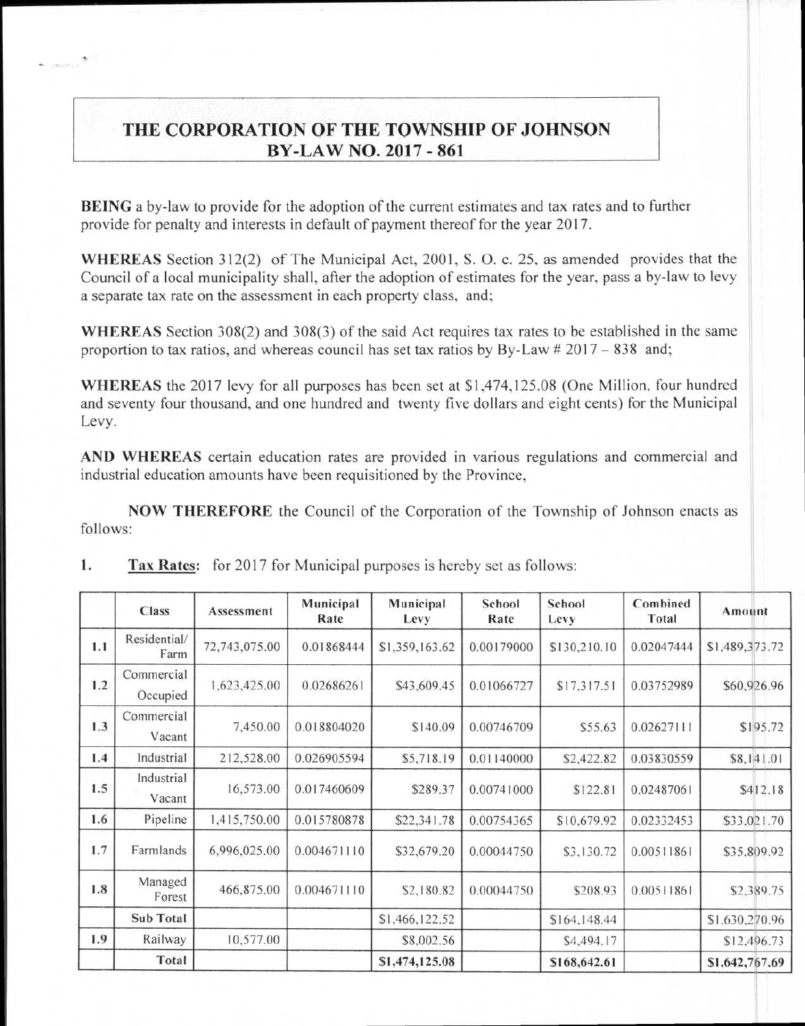## **THE CORPORATION OF THE TOWNSHIP OF JOHNSON BY-LAW NO. 2017 - 861**

BEING a by-law to provide for the adoption of the current estimates and tax rates and to further provide for penalty and interests in default of payment thereof for the year 2017.

WHEREAS Section 312(2) of The Municipal Act, 2001, S. 0. c. 25, as amended provides that the Council of a local municipality shall, after the adoption of estimates for the year, pass a by-law to levy a separate tax rate on the assessment in each property class, and;

WHEREAS Section 308(2) and 308(3) of the said Act requires tax rates to be established in the same proportion to tax ratios, and whereas council has set tax ratios by By-Law  $\# 2017 - 838$  and;

WHEREAS the 2017 levy for all purposes has been set at \$1,474,125.08 (One Million, four hundred and seventy four thousand, and one hundred and twenty five dollars and eight cents) for the Municipal Levy.

AND WHEREAS certain education rates are provided in various regulations and commercial and industrial education amounts have been requisitioned by the Province,

NOW THEREFORE the Council of the Corporation of the Township of Johnson enacts as follows:

|     | Class                  | Assessment    | Municipal<br>Rate | Municipal<br>Levy | School<br>Rate | School<br>Levy | Combined<br>Total | Amount         |
|-----|------------------------|---------------|-------------------|-------------------|----------------|----------------|-------------------|----------------|
| 1.1 | Residential/<br>Farm   | 72,743,075.00 | 0.01868444        | \$1,359,163.62    | 0.00179000     | \$130,210.10   | 0.02047444        | \$1,489,373.72 |
| 1.2 | Commercial<br>Occupied | 1,623,425.00  | 0.02686261        | \$43,609.45       | 0.01066727     | \$17,317.51    | 0.03752989        | \$60,926.96    |
| 1.3 | Commercial<br>Vacant   | 7,450.00      | 0.018804020       | \$140.09          | 0.00746709     | \$55.63        | 0.02627111        | \$195.72       |
| 1.4 | Industrial             | 212,528.00    | 0.026905594       | \$5,718.19        | 0.01140000     | \$2,422.82     | 0.03830559        | \$8,141.01     |
| 1.5 | Industrial<br>Vacant   | 16,573.00     | 0.017460609       | \$289.37          | 0.00741000     | \$122.81       | 0.02487061        | \$412.18       |
| 1.6 | Pipeline               | 1,415,750.00  | 0.015780878       | \$22,341.78       | 0.00754365     | \$10,679.92    | 0.02332453        | \$33,021.70    |
| 1.7 | Farmlands              | 6,996,025.00  | 0.004671110       | \$32,679.20       | 0.00044750     | \$3,130.72     | 0.00511861        | \$35.809.92    |
| 1.8 | Managed<br>Forest      | 466,875.00    | 0.004671110       | \$2,180.82        | 0.00044750     | \$208.93       | 0.00511861        | \$2,389.75     |
|     | Sub Total              |               |                   | \$1,466,122.52    |                | \$164,148.44   |                   | \$1,630,270.96 |
| 1.9 | Railway                | 10,577.00     |                   | \$8,002.56        |                | \$4,494.17     |                   | \$12,496.73    |
|     | Total                  |               |                   | \$1,474,125.08    |                | \$168,642.61   |                   | \$1,642,767.69 |

1. Tax Rates: for 2017 for Municipal purposes is hereby set as follows: